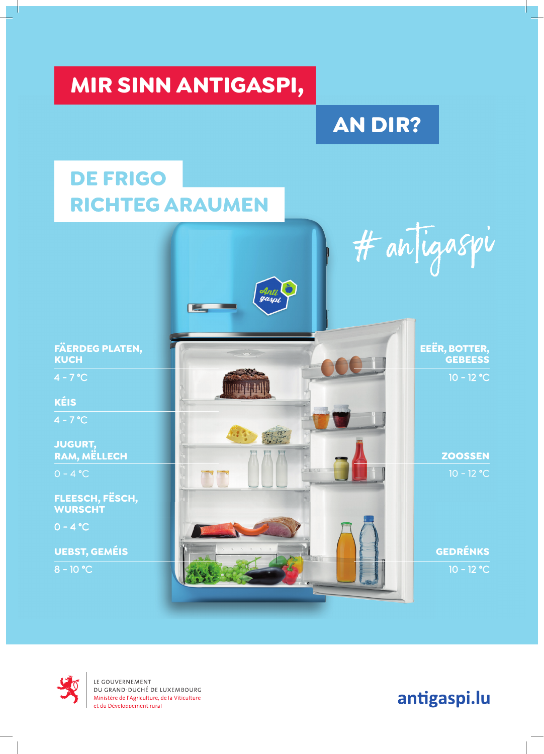### **MIR SINN ANTIGASPI,**

### **AN DIR?**

### **DE FRIGO RICHTEG ARAUMEN**





LE GOUVERNEMENT DU GRAND-DUCHÉ DE LUXEMBOURG<br>Ministère de l'Agriculture, de la Viticulture et du Développement rural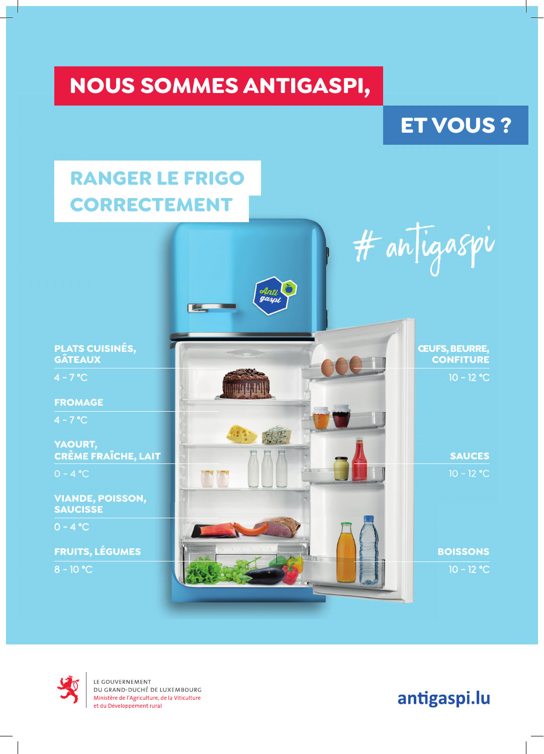### **NOUS SOMMES ANTIGASPI,**

#### **ET VOUS ?**

### **RANGER LE FRIGO CORRECTEMENT**





LE GOUVERNEMENT DU GRAND-DUCHÉ DE LUXEMBOURG<br>Ministère de l'Agriculture, de la Viticulture et du Développement rural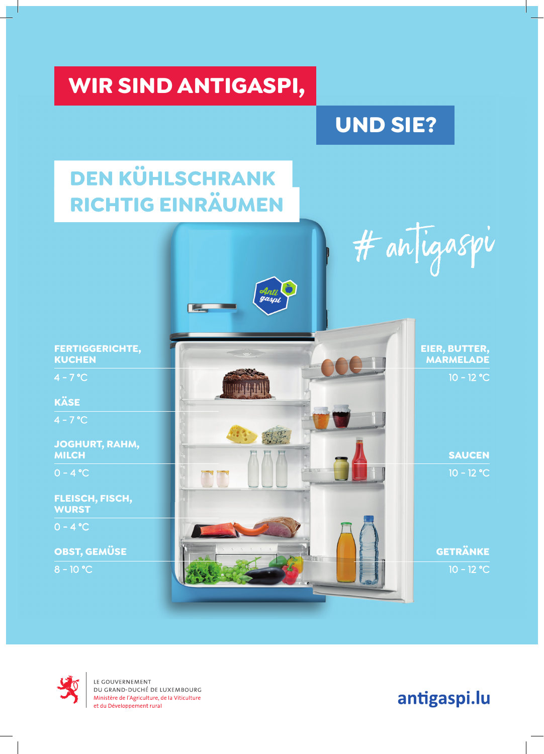### **WIR SIND ANTIGASPI,**

### **UND SIE?**

## **DEN KÜHLSCHRANK** RICHTIG EINRÄUMEN





LE GOUVERNEMENT DU GRAND-DUCHÉ DE LUXEMBOURG<br>Ministère de l'Agriculture, de la Viticulture et du Développement rural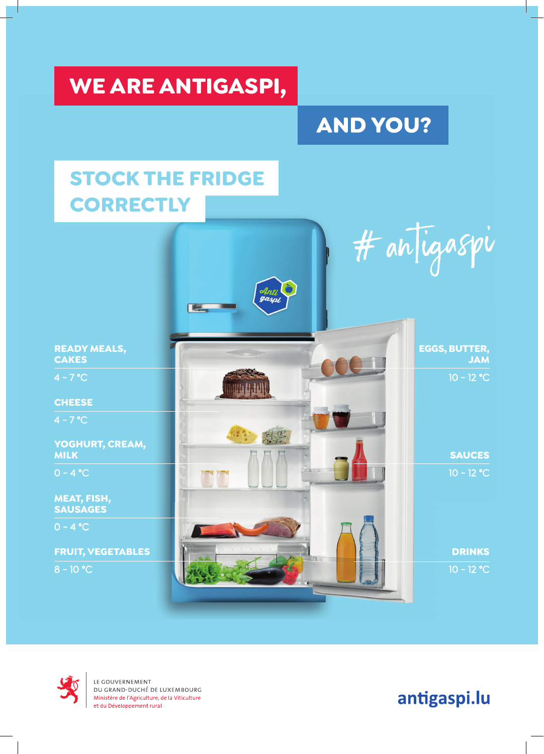### WE ARE ANTIGASPI,

### **AND YOU?**

### **STOCK THE FRIDGE CORRECTLY**





LE GOUVERNEMENT DU GRAND-DUCHÉ DE LUXEMBOURG<br>Ministère de l'Agriculture, de la Viticulture et du Développement rural